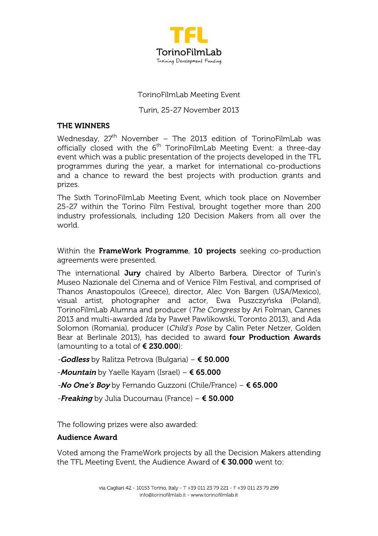

### TorinoFilmLab Meeting Event

Turin, 25-27 November 2013

## THE WINNERS

Wednesday,  $27<sup>th</sup>$  November – The 2013 edition of TorinoFilmLab was officially closed with the  $6<sup>th</sup>$  TorinoFilmLab Meeting Event: a three-day event which was a public presentation of the projects developed in the TFL programmes during the year, a market for international co-productions and a chance to reward the best projects with production grants and prizes.

The Sixth TorinoFilmLab Meeting Event, which took place on November 25-27 within the Torino Film Festival, brought together more than 200 industry professionals, including 120 Decision Makers from all over the world.

Within the FrameWork Programme, 10 projects seeking co-production agreements were presented.

The international Jury chaired by Alberto Barbera, Director of Turin's Museo Nazionale del Cinema and of Venice Film Festival, and comprised of Thanos Anastopoulos (Greece), director, Alec Von Bargen (USA/Mexico), visual artist, photographer and actor, Ewa Puszczyńska (Poland), TorinoFilmLab Alumna and producer (The Congress by Ari Folman, Cannes 2013 and multi-awarded Ida by Paweł Pawlikowski, Toronto 2013), and Ada Solomon (Romania), producer (Child's Pose by Calin Peter Netzer, Golden Bear at Berlinale 2013), has decided to award four Production Awards (amounting to a total of  $\epsilon$  230.000):

-Godless by Ralitza Petrova (Bulgaria) –  $\epsilon$  50.000

-*Mountain* by Yaelle Kayam (Israel) –  $\epsilon$  65.000

-No One's Boy by Fernando Guzzoni (Chile/France) –  $\epsilon$  65.000

-Freaking by Julia Ducournau (France) –  $\epsilon$  50.000

The following prizes were also awarded:

### Audience Award

Voted among the FrameWork projects by all the Decision Makers attending the TFL Meeting Event, the Audience Award of  $€ 30.000$  went to: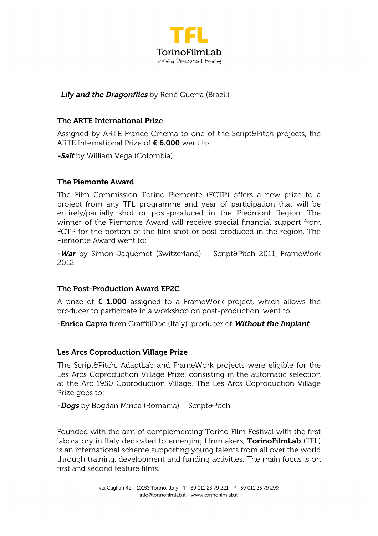

# -Lily and the Dragonflies by René Guerra (Brazil)

# The ARTE International Prize

Assigned by ARTE France Cinéma to one of the Script&Pitch projects, the ARTE International Prize of € 6.000 went to:

-Salt by William Vega (Colombia)

## The Piemonte Award

The Film Commission Torino Piemonte (FCTP) offers a new prize to a project from any TFL programme and year of participation that will be entirely/partially shot or post-produced in the Piedmont Region. The winner of the Piemonte Award will receive special financial support from FCTP for the portion of the film shot or post-produced in the region. The Piemonte Award went to:

-War by Simon Jaquemet (Switzerland) – Script&Pitch 2011, FrameWork 2012

### The Post-Production Award EP2C

A prize of  $\epsilon$  1.000 assigned to a FrameWork project, which allows the producer to participate in a workshop on post-production, went to:

-**Enrica Capra** from GraffitiDoc (Italy), producer of **Without the Implant**.

### Les Arcs Coproduction Village Prize

The Script&Pitch, AdaptLab and FrameWork projects were eligible for the Les Arcs Coproduction Village Prize, consisting in the automatic selection at the Arc 1950 Coproduction Village. The Les Arcs Coproduction Village Prize goes to:

-Dogs by Bogdan Mirica (Romania) – Script&Pitch

Founded with the aim of complementing Torino Film Festival with the first laboratory in Italy dedicated to emerging filmmakers, **TorinoFilmLab** (TFL) is an international scheme supporting young talents from all over the world through training, development and funding activities. The main focus is on first and second feature films.